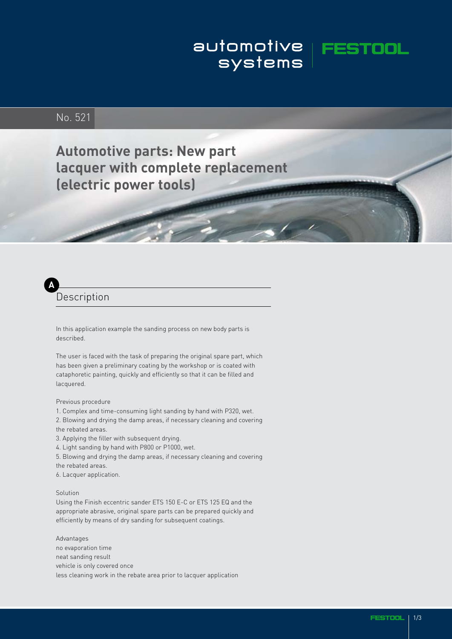# automotive | FEST<br>systems |

## No. 521

**Automotive parts: New part lacquer with complete replacement (electric power tools)**

## **A** Description

In this application example the sanding process on new body parts is described.

The user is faced with the task of preparing the original spare part, which has been given a preliminary coating by the workshop or is coated with cataphoretic painting, quickly and efficiently so that it can be filled and lacquered.

Previous procedure

- 1. Complex and time-consuming light sanding by hand with P320, wet.
- 2. Blowing and drying the damp areas, if necessary cleaning and covering
- the rebated areas.
- 3. Applying the filler with subsequent drying.
- 4. Light sanding by hand with P800 or P1000, wet.
- 5. Blowing and drying the damp areas, if necessary cleaning and covering
- the rebated areas.
- 6. Lacquer application.

### Solution

Using the Finish eccentric sander ETS 150 E-C or ETS 125 EQ and the appropriate abrasive, original spare parts can be prepared quickly and efficiently by means of dry sanding for subsequent coatings.

Advantages no evaporation time neat sanding result vehicle is only covered once less cleaning work in the rebate area prior to lacquer application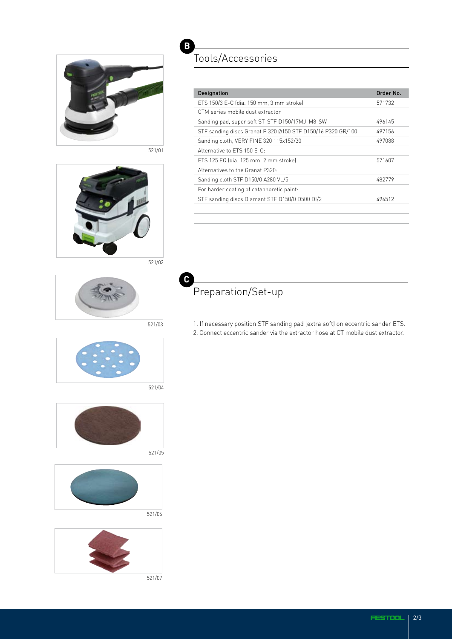

521/01



**B** Tools/Accessories

| Designation                                                 | Order No. |
|-------------------------------------------------------------|-----------|
| ETS 150/3 E-C (dia. 150 mm, 3 mm stroke)                    | 571732    |
| CTM series mobile dust extractor                            |           |
| Sanding pad, super soft ST-STF D150/17MJ-M8-SW              | 496145    |
| STF sanding discs Granat P 320 Ø150 STF D150/16 P320 GR/100 | 497156    |
| Sanding cloth, VERY FINE 320 115x152/30                     | 497088    |
| Alternative to FTS 150 F-C.                                 |           |
| ETS 125 EQ (dia. 125 mm, 2 mm stroke)                       | 571607    |
| Alternatives to the Granat P320:                            |           |
| Sanding cloth STF D150/0 A280 VL/5                          | 482779    |
| For harder coating of cataphoretic paint:                   |           |
| STF sanding discs Diamant STF D150/0 D500 DI/2              | 496512    |
|                                                             |           |

**C** Preparation/Set-up

> 1. If necessary position STF sanding pad (extra soft) on eccentric sander ETS. 2. Connect eccentric sander via the extractor hose at CT mobile dust extractor.



521/04

521/03





521/06



521/07